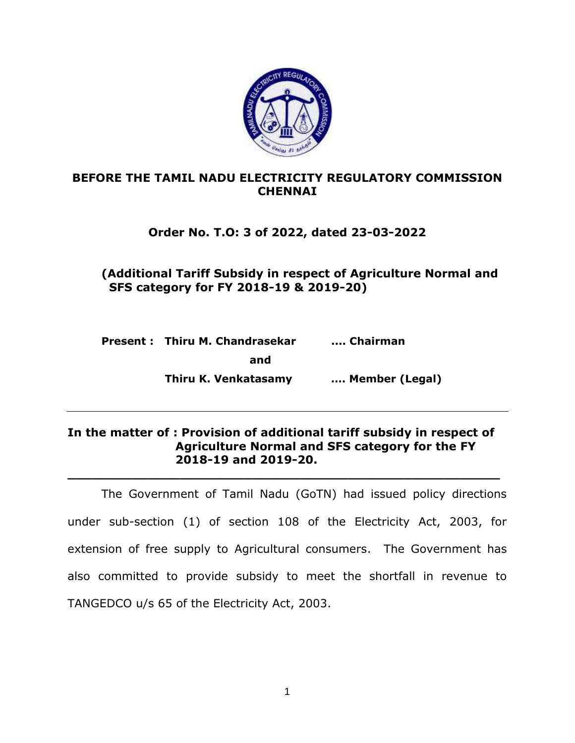

#### **BEFORE THE TAMIL NADU ELECTRICITY REGULATORY COMMISSION CHENNAI**

## **Order No. T.O: 3 of 2022, dated 23-03-2022**

## **(Additional Tariff Subsidy in respect of Agriculture Normal and SFS category for FY 2018-19 & 2019-20)**

**Present : Thiru M. Chandrasekar .... Chairman and Thiru K. Venkatasamy …. Member (Legal)**

#### **In the matter of : Provision of additional tariff subsidy in respect of Agriculture Normal and SFS category for the FY 2018-19 and 2019-20.**

**\_\_\_\_\_\_\_\_\_\_\_\_\_\_\_\_\_\_\_\_\_\_\_\_\_\_\_\_\_\_\_\_\_\_\_\_\_\_\_\_\_\_\_\_\_\_\_\_\_\_\_\_\_\_**

The Government of Tamil Nadu (GoTN) had issued policy directions under sub-section (1) of section 108 of the Electricity Act, 2003, for extension of free supply to Agricultural consumers. The Government has also committed to provide subsidy to meet the shortfall in revenue to TANGEDCO u/s 65 of the Electricity Act, 2003.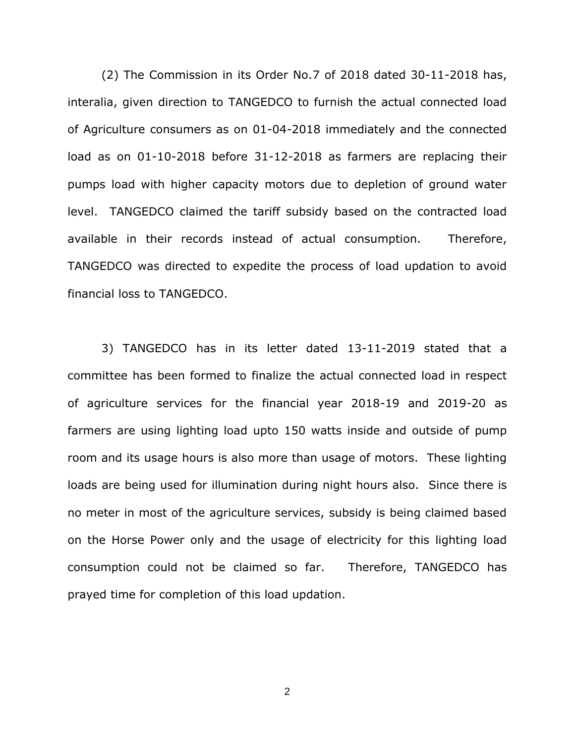(2) The Commission in its Order No.7 of 2018 dated 30-11-2018 has, interalia, given direction to TANGEDCO to furnish the actual connected load of Agriculture consumers as on 01-04-2018 immediately and the connected load as on 01-10-2018 before 31-12-2018 as farmers are replacing their pumps load with higher capacity motors due to depletion of ground water level. TANGEDCO claimed the tariff subsidy based on the contracted load available in their records instead of actual consumption. Therefore, TANGEDCO was directed to expedite the process of load updation to avoid financial loss to TANGEDCO.

3) TANGEDCO has in its letter dated 13-11-2019 stated that a committee has been formed to finalize the actual connected load in respect of agriculture services for the financial year 2018-19 and 2019-20 as farmers are using lighting load upto 150 watts inside and outside of pump room and its usage hours is also more than usage of motors. These lighting loads are being used for illumination during night hours also. Since there is no meter in most of the agriculture services, subsidy is being claimed based on the Horse Power only and the usage of electricity for this lighting load consumption could not be claimed so far. Therefore, TANGEDCO has prayed time for completion of this load updation.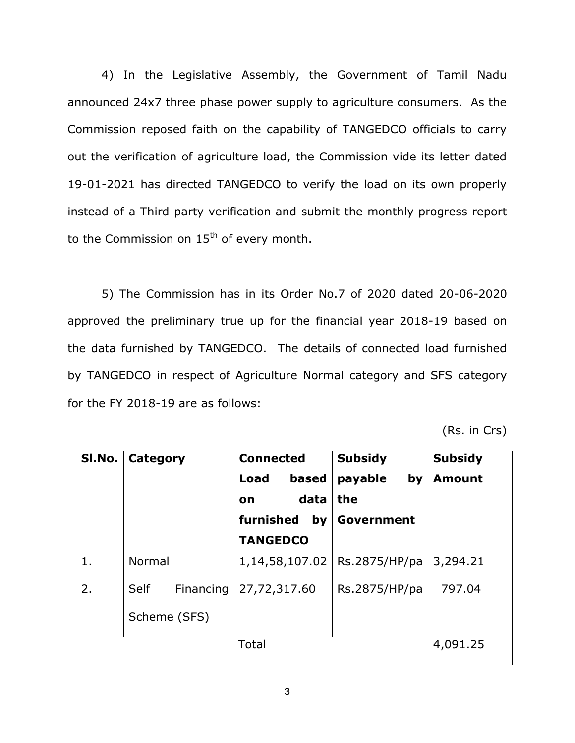4) In the Legislative Assembly, the Government of Tamil Nadu announced 24x7 three phase power supply to agriculture consumers. As the Commission reposed faith on the capability of TANGEDCO officials to carry out the verification of agriculture load, the Commission vide its letter dated 19-01-2021 has directed TANGEDCO to verify the load on its own properly instead of a Third party verification and submit the monthly progress report to the Commission on  $15<sup>th</sup>$  of every month.

5) The Commission has in its Order No.7 of 2020 dated 20-06-2020 approved the preliminary true up for the financial year 2018-19 based on the data furnished by TANGEDCO. The details of connected load furnished by TANGEDCO in respect of Agriculture Normal category and SFS category for the FY 2018-19 are as follows:

(Rs. in Crs)

| SI.No. | Category                          | <b>Connected</b><br>based<br>Load<br>data<br><b>on</b> | <b>Subsidy</b><br>payable<br>by<br>the | <b>Subsidy</b><br><b>Amount</b> |  |
|--------|-----------------------------------|--------------------------------------------------------|----------------------------------------|---------------------------------|--|
|        |                                   | furnished<br>by<br><b>TANGEDCO</b>                     | Government                             |                                 |  |
| 1.     | Normal                            | 1,14,58,107.02                                         | Rs.2875/HP/pa                          | 3,294.21                        |  |
| 2.     | Self<br>Financing<br>Scheme (SFS) | 27,72,317.60                                           | Rs.2875/HP/pa                          | 797.04                          |  |
|        |                                   | Total                                                  |                                        | 4,091.25                        |  |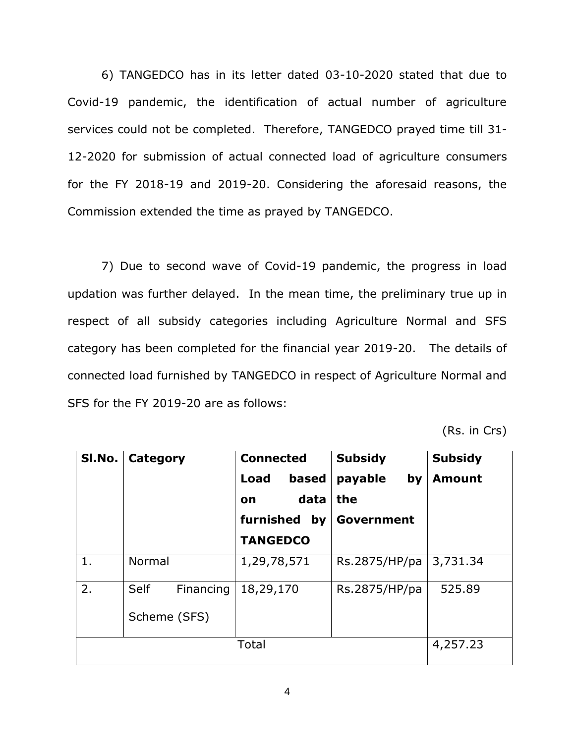6) TANGEDCO has in its letter dated 03-10-2020 stated that due to Covid-19 pandemic, the identification of actual number of agriculture services could not be completed. Therefore, TANGEDCO prayed time till 31- 12-2020 for submission of actual connected load of agriculture consumers for the FY 2018-19 and 2019-20. Considering the aforesaid reasons, the Commission extended the time as prayed by TANGEDCO.

7) Due to second wave of Covid-19 pandemic, the progress in load updation was further delayed. In the mean time, the preliminary true up in respect of all subsidy categories including Agriculture Normal and SFS category has been completed for the financial year 2019-20. The details of connected load furnished by TANGEDCO in respect of Agriculture Normal and SFS for the FY 2019-20 are as follows:

(Rs. in Crs)

| SI.No. | Category                          | <b>Connected</b><br>based<br>Load<br>data<br>on<br>furnished<br>by<br><b>TANGEDCO</b> | <b>Subsidy</b><br>payable<br>by<br>the<br>Government | <b>Subsidy</b><br><b>Amount</b> |
|--------|-----------------------------------|---------------------------------------------------------------------------------------|------------------------------------------------------|---------------------------------|
| 1.     | Normal                            | 1,29,78,571                                                                           | Rs.2875/HP/pa                                        | 3,731.34                        |
| 2.     | Self<br>Financing<br>Scheme (SFS) | 18,29,170                                                                             | Rs.2875/HP/pa                                        | 525.89                          |
|        |                                   | Total                                                                                 |                                                      | 4,257.23                        |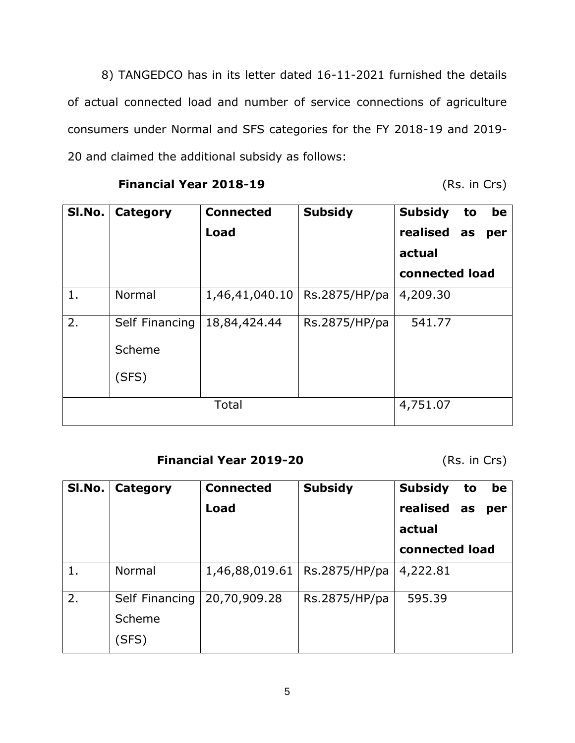8) TANGEDCO has in its letter dated 16-11-2021 furnished the details of actual connected load and number of service connections of agriculture consumers under Normal and SFS categories for the FY 2018-19 and 2019- 20 and claimed the additional subsidy as follows:

**Financial Year 2018-19** (Rs. in Crs)

| <b>SI.No.</b> | Category       | <b>Connected</b> | <b>Subsidy</b> | <b>Subsidy</b><br>be<br>to |
|---------------|----------------|------------------|----------------|----------------------------|
|               |                | Load             |                | realised as<br>per         |
|               |                |                  |                | actual                     |
|               |                |                  |                | connected load             |
| 1.            | Normal         | 1,46,41,040.10   | Rs.2875/HP/pa  | 4,209.30                   |
| 2.            | Self Financing | 18,84,424.44     | Rs.2875/HP/pa  | 541.77                     |
|               | Scheme         |                  |                |                            |
|               | (SFS)          |                  |                |                            |
|               |                | Total            |                | 4,751.07                   |

## **Financial Year 2019-20** (Rs. in Crs)

| SI.No. | Category       | <b>Connected</b> | <b>Subsidy</b> | <b>Subsidy</b> | to | be  |
|--------|----------------|------------------|----------------|----------------|----|-----|
|        |                | Load             |                | realised as    |    | per |
|        |                |                  |                | actual         |    |     |
|        |                |                  |                | connected load |    |     |
| 1.     | Normal         | 1,46,88,019.61   | Rs.2875/HP/pa  | 4,222.81       |    |     |
| 2.     | Self Financing | 20,70,909.28     | Rs.2875/HP/pa  | 595.39         |    |     |
|        | Scheme         |                  |                |                |    |     |
|        | (SFS)          |                  |                |                |    |     |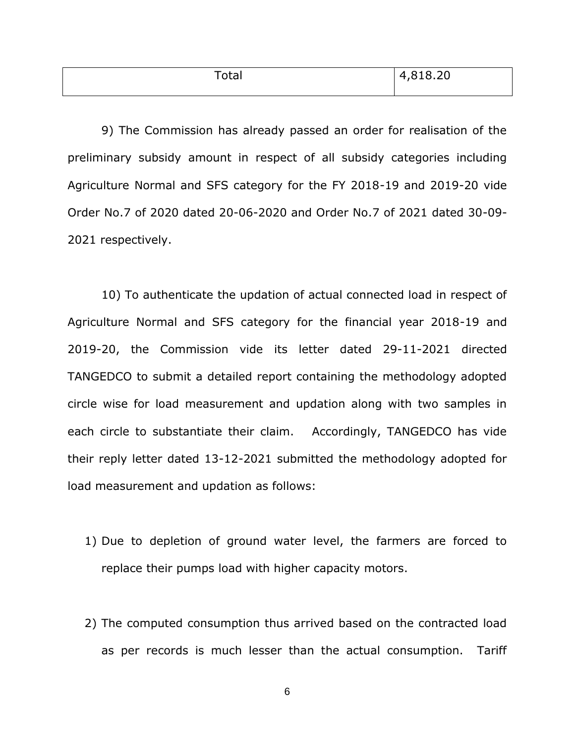| lai | 010,00<br>$\sqrt{ }$<br>010.ZU |
|-----|--------------------------------|
|     |                                |

9) The Commission has already passed an order for realisation of the preliminary subsidy amount in respect of all subsidy categories including Agriculture Normal and SFS category for the FY 2018-19 and 2019-20 vide Order No.7 of 2020 dated 20-06-2020 and Order No.7 of 2021 dated 30-09- 2021 respectively.

10) To authenticate the updation of actual connected load in respect of Agriculture Normal and SFS category for the financial year 2018-19 and 2019-20, the Commission vide its letter dated 29-11-2021 directed TANGEDCO to submit a detailed report containing the methodology adopted circle wise for load measurement and updation along with two samples in each circle to substantiate their claim. Accordingly, TANGEDCO has vide their reply letter dated 13-12-2021 submitted the methodology adopted for load measurement and updation as follows:

- 1) Due to depletion of ground water level, the farmers are forced to replace their pumps load with higher capacity motors.
- 2) The computed consumption thus arrived based on the contracted load as per records is much lesser than the actual consumption. Tariff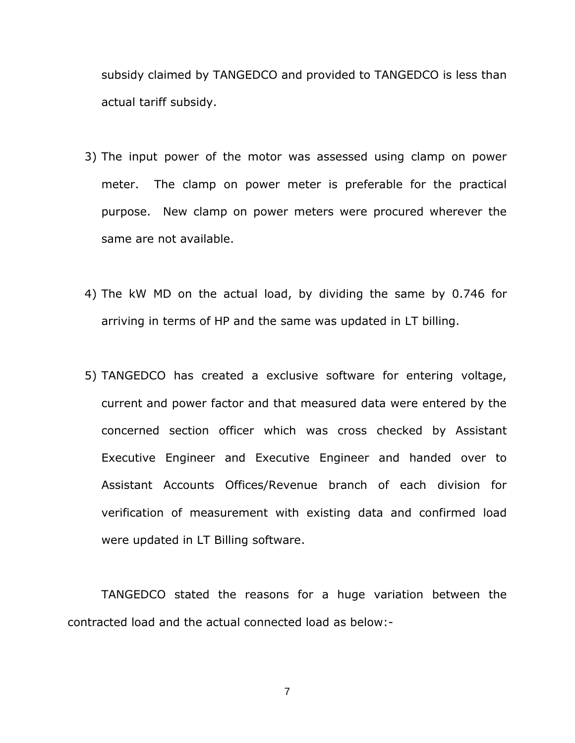subsidy claimed by TANGEDCO and provided to TANGEDCO is less than actual tariff subsidy.

- 3) The input power of the motor was assessed using clamp on power meter. The clamp on power meter is preferable for the practical purpose. New clamp on power meters were procured wherever the same are not available.
- 4) The kW MD on the actual load, by dividing the same by 0.746 for arriving in terms of HP and the same was updated in LT billing.
- 5) TANGEDCO has created a exclusive software for entering voltage, current and power factor and that measured data were entered by the concerned section officer which was cross checked by Assistant Executive Engineer and Executive Engineer and handed over to Assistant Accounts Offices/Revenue branch of each division for verification of measurement with existing data and confirmed load were updated in LT Billing software.

TANGEDCO stated the reasons for a huge variation between the contracted load and the actual connected load as below:-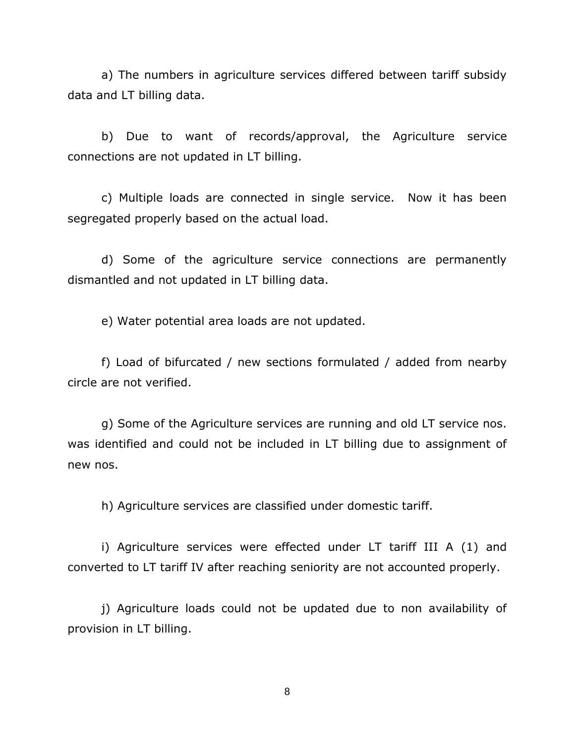a) The numbers in agriculture services differed between tariff subsidy data and LT billing data.

b) Due to want of records/approval, the Agriculture service connections are not updated in LT billing.

c) Multiple loads are connected in single service. Now it has been segregated properly based on the actual load.

d) Some of the agriculture service connections are permanently dismantled and not updated in LT billing data.

e) Water potential area loads are not updated.

f) Load of bifurcated / new sections formulated / added from nearby circle are not verified.

g) Some of the Agriculture services are running and old LT service nos. was identified and could not be included in LT billing due to assignment of new nos.

h) Agriculture services are classified under domestic tariff.

i) Agriculture services were effected under LT tariff III A (1) and converted to LT tariff IV after reaching seniority are not accounted properly.

j) Agriculture loads could not be updated due to non availability of provision in LT billing.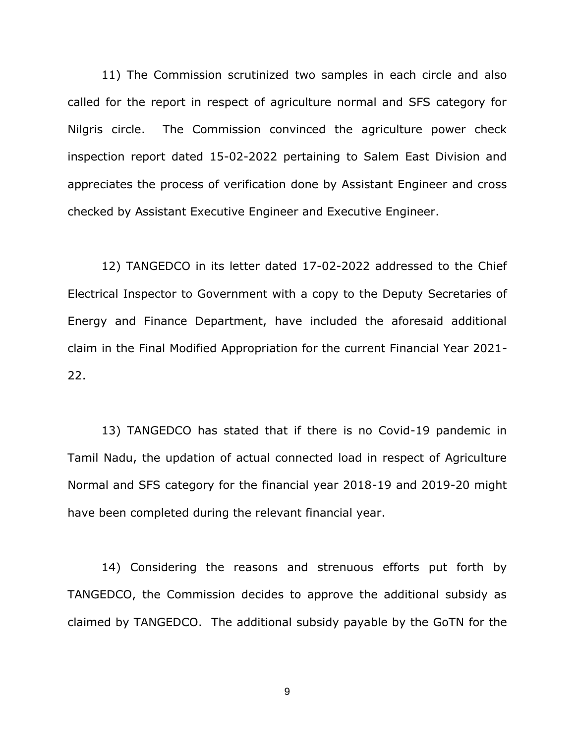11) The Commission scrutinized two samples in each circle and also called for the report in respect of agriculture normal and SFS category for Nilgris circle. The Commission convinced the agriculture power check inspection report dated 15-02-2022 pertaining to Salem East Division and appreciates the process of verification done by Assistant Engineer and cross checked by Assistant Executive Engineer and Executive Engineer.

12) TANGEDCO in its letter dated 17-02-2022 addressed to the Chief Electrical Inspector to Government with a copy to the Deputy Secretaries of Energy and Finance Department, have included the aforesaid additional claim in the Final Modified Appropriation for the current Financial Year 2021- 22.

13) TANGEDCO has stated that if there is no Covid-19 pandemic in Tamil Nadu, the updation of actual connected load in respect of Agriculture Normal and SFS category for the financial year 2018-19 and 2019-20 might have been completed during the relevant financial year.

14) Considering the reasons and strenuous efforts put forth by TANGEDCO, the Commission decides to approve the additional subsidy as claimed by TANGEDCO. The additional subsidy payable by the GoTN for the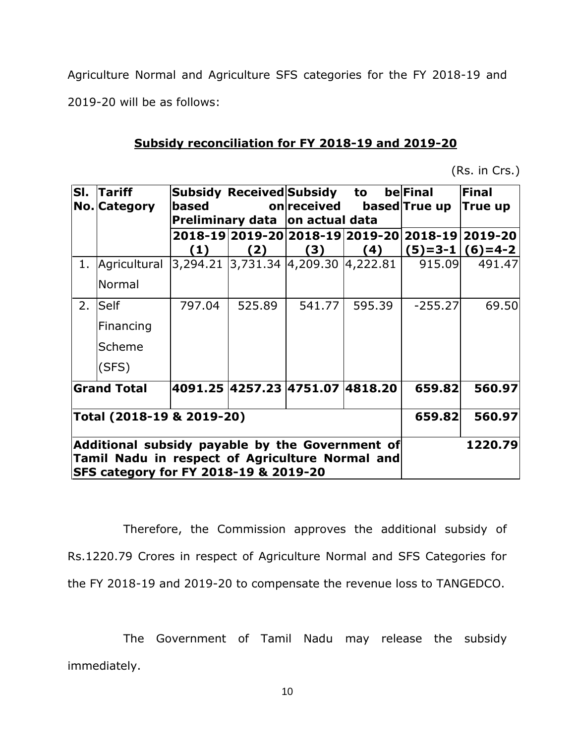Agriculture Normal and Agriculture SFS categories for the FY 2018-19 and 2019-20 will be as follows:

### **Subsidy reconciliation for FY 2018-19 and 2019-20**

(Rs. in Crs.)

|                                                                                                                                                        | Sl.  Tariff<br>No. Category |        |        | Subsidy Received Subsidy to be Final<br>based on received<br>Preliminary data on actual data |        | based True up True up | <b>Final</b>                                                                 |
|--------------------------------------------------------------------------------------------------------------------------------------------------------|-----------------------------|--------|--------|----------------------------------------------------------------------------------------------|--------|-----------------------|------------------------------------------------------------------------------|
|                                                                                                                                                        |                             | (1)    | (2)    | (3)                                                                                          |        |                       | 2018-19 2019-20 2018-19 2019-20 2018-19 2019-20<br>$(4)$ $(5)=3-1$ $(6)=4-2$ |
|                                                                                                                                                        | 1. Agricultural             |        |        | 3,294.21  3,731.34  4,209.30  4,222.81                                                       |        | 915.09                | 491.47                                                                       |
|                                                                                                                                                        | Normal                      |        |        |                                                                                              |        |                       |                                                                              |
|                                                                                                                                                        | 2. Self                     | 797.04 | 525.89 | 541.77                                                                                       | 595.39 | $-255.27$             | 69.50                                                                        |
|                                                                                                                                                        | Financing                   |        |        |                                                                                              |        |                       |                                                                              |
|                                                                                                                                                        | Scheme                      |        |        |                                                                                              |        |                       |                                                                              |
|                                                                                                                                                        | (SFS)                       |        |        |                                                                                              |        |                       |                                                                              |
|                                                                                                                                                        | <b>Grand Total</b>          |        |        | 4091.25  4257.23  4751.07  4818.20                                                           |        | 659.82                | 560.97                                                                       |
| Total (2018-19 & 2019-20)                                                                                                                              |                             |        |        |                                                                                              | 659.82 | 560.97                |                                                                              |
| Additional subsidy payable by the Government of<br>Tamil Nadu in respect of Agriculture Normal and<br><b>SFS category for FY 2018-19 &amp; 2019-20</b> |                             |        |        |                                                                                              |        | 1220.79               |                                                                              |

Therefore, the Commission approves the additional subsidy of Rs.1220.79 Crores in respect of Agriculture Normal and SFS Categories for the FY 2018-19 and 2019-20 to compensate the revenue loss to TANGEDCO.

The Government of Tamil Nadu may release the subsidy immediately.